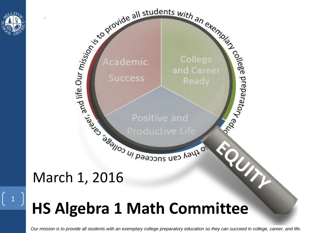

 $\begin{pmatrix} 1 \end{pmatrix}$ 



### **HS Algebra 1 Math Committee**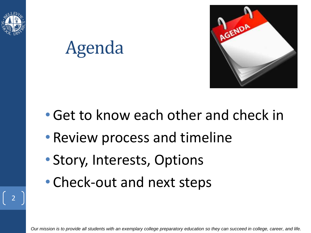

## Agenda



- •Get to know each other and check in
- Review process and timeline
- Story, Interests, Options
- Check-out and next steps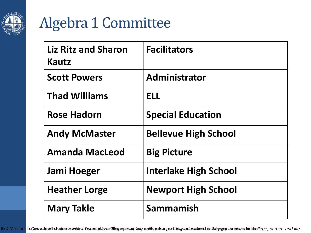

### Algebra 1 Committee

| <b>Liz Ritz and Sharon</b><br>Kautz | <b>Facilitators</b>          |
|-------------------------------------|------------------------------|
| <b>Scott Powers</b>                 | Administrator                |
| <b>Thad Williams</b>                | <b>ELL</b>                   |
| <b>Rose Hadorn</b>                  | <b>Special Education</b>     |
| <b>Andy McMaster</b>                | <b>Bellevue High School</b>  |
| <b>Amanda MacLeod</b>               | <b>Big Picture</b>           |
| Jami Hoeger                         | <b>Interlake High School</b> |
| <b>Heather Lorge</b>                | <b>Newport High School</b>   |
| <b>Mary Takle</b>                   | Sammamish                    |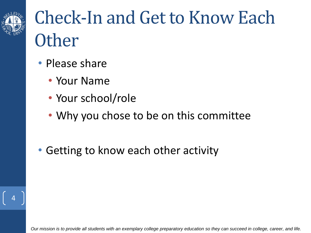

## Check-In and Get to Know Each **Other**

- Please share
	- Your Name
	- Your school/role
	- Why you chose to be on this committee
- Getting to know each other activity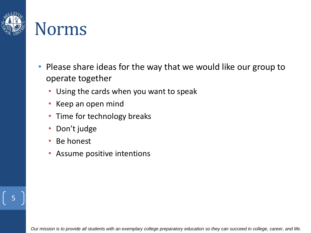

### Norms

- Please share ideas for the way that we would like our group to operate together
	- Using the cards when you want to speak
	- Keep an open mind
	- Time for technology breaks
	- Don't judge
	- Be honest
	- Assume positive intentions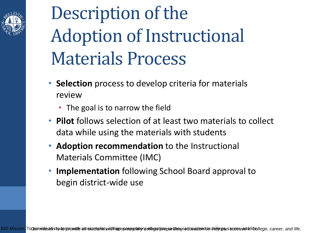

## Description of the Adoption of Instructional Materials Process

- **Selection** process to develop criteria for materials review
	- The goal is to narrow the field
- **Pilot** follows selection of at least two materials to collect data while using the materials with students
- **Adoption recommendation** to the Instructional Materials Committee (IMC)
- **Implementation** following School Board approval to begin district-wide use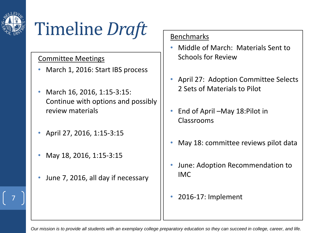

## Timeline *Draft*

### Committee Meetings

- March 1, 2016: Start IBS process
- March 16, 2016, 1:15-3:15: Continue with options and possibly review materials
- April 27, 2016, 1:15-3:15
- May 18, 2016, 1:15-3:15
- June 7, 2016, all day if necessary

### Benchmarks

- Middle of March: Materials Sent to Schools for Review
- April 27: Adoption Committee Selects 2 Sets of Materials to Pilot
- End of April –May 18:Pilot in Classrooms
- May 18: committee reviews pilot data
- June: Adoption Recommendation to IMC
- 7 2016-17: Implement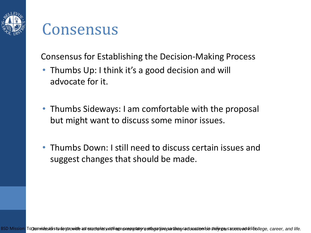

### Consensus

Consensus for Establishing the Decision-Making Process

- Thumbs Up: I think it's a good decision and will advocate for it.
- Thumbs Sideways: I am comfortable with the proposal but might want to discuss some minor issues.
- Thumbs Down: I still need to discuss certain issues and suggest changes that should be made.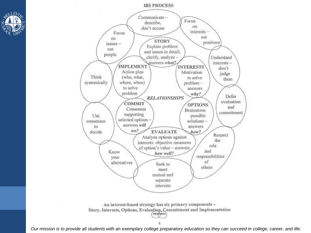



An interest-based strategy has six primary components-Story, Interests, Options, Evaluation, Commitment and Implementation NEANAEN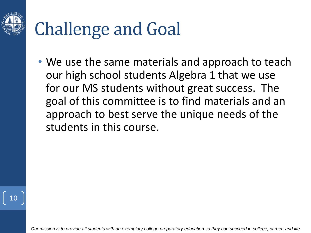

## Challenge and Goal

• We use the same materials and approach to teach our high school students Algebra 1 that we use for our MS students without great success. The goal of this committee is to find materials and an approach to best serve the unique needs of the students in this course.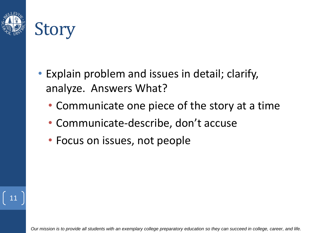

# Story

- Explain problem and issues in detail; clarify, analyze. Answers What?
	- Communicate one piece of the story at a time
	- Communicate-describe, don't accuse
	- Focus on issues, not people

11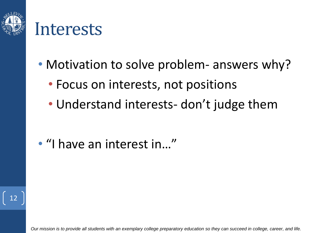

### Interests

- Motivation to solve problem- answers why?
	- Focus on interests, not positions
	- Understand interests- don't judge them

• "I have an interest in…"

12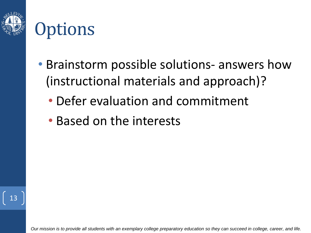



- Brainstorm possible solutions- answers how (instructional materials and approach)?
	- Defer evaluation and commitment
	- Based on the interests

13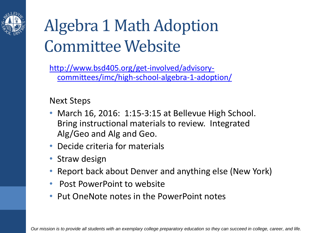

### Algebra 1 Math Adoption Committee Website

http://www.bsd405.org/get-involved/advisory[committees/imc/high-school-algebra-1-adoption/](http://www.bsd405.org/get-involved/advisory-committees/imc/high-school-algebra-1-adoption/)

Next Steps

- March 16, 2016: 1:15-3:15 at Bellevue High School. Bring instructional materials to review. Integrated Alg/Geo and Alg and Geo.
- Decide criteria for materials
- Straw design
- Report back about Denver and anything else (New York)
- Post PowerPoint to website
- Put OneNote notes in the PowerPoint notes